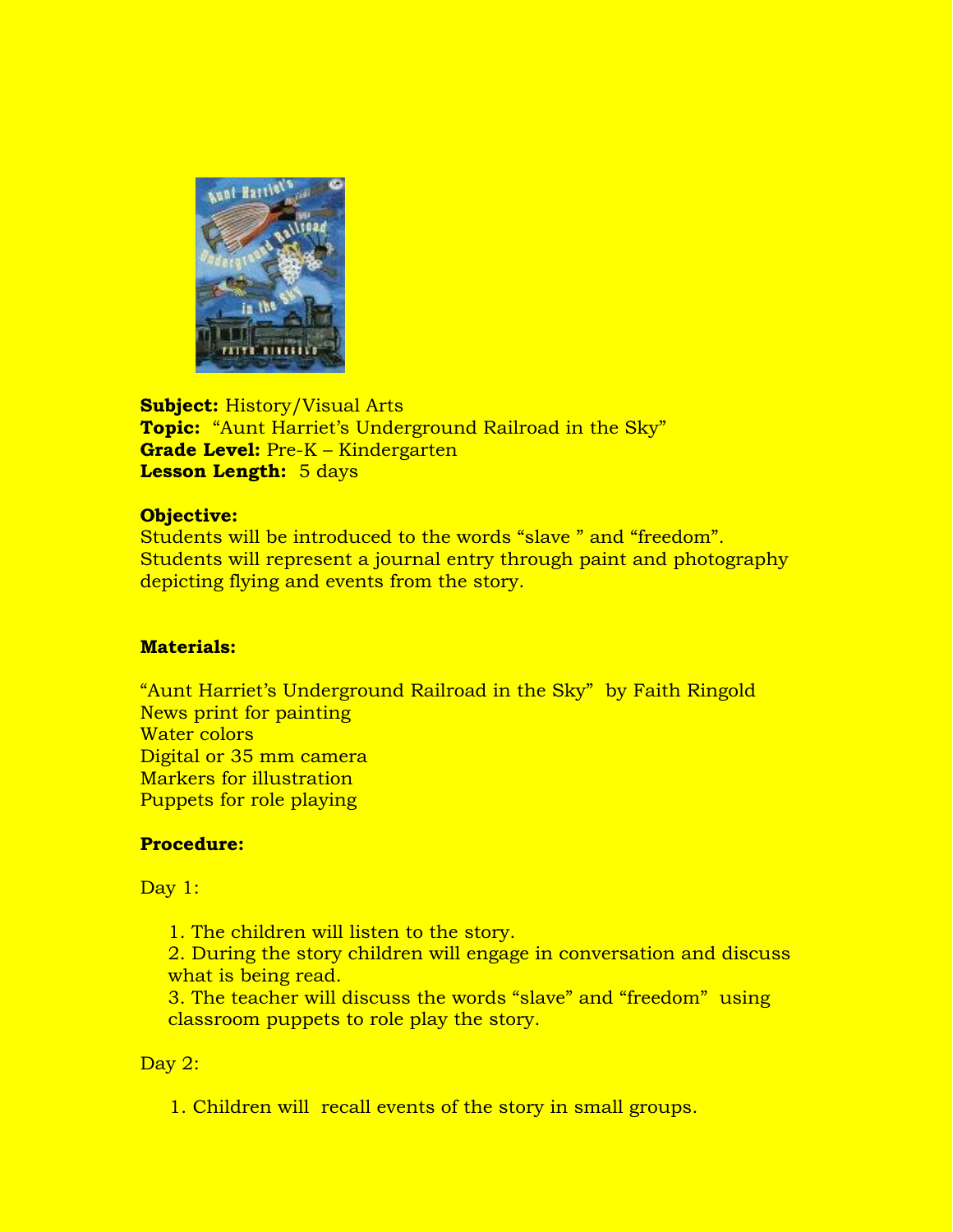

**Subject:** History/Visual Arts **Topic:** "Aunt Harriet's Underground Railroad in the Sky" **Grade Level:** Pre-K – Kindergarten **Lesson Length:** 5 days

## **Objective:**

Students will be introduced to the words "slave " and "freedom". Students will represent a journal entry through paint and photography depicting flying and events from the story.

## **Materials:**

"Aunt Harriet's Underground Railroad in the Sky" by Faith Ringold News print for painting Water colors Digital or 35 mm camera Markers for illustration Puppets for role playing

## **Procedure:**

Day 1:

1. The children will listen to the story.

2. During the story children will engage in conversation and discuss what is being read.

3. The teacher will discuss the words "slave" and "freedom" using classroom puppets to role play the story.

## Day 2:

1. Children will recall events of the story in small groups.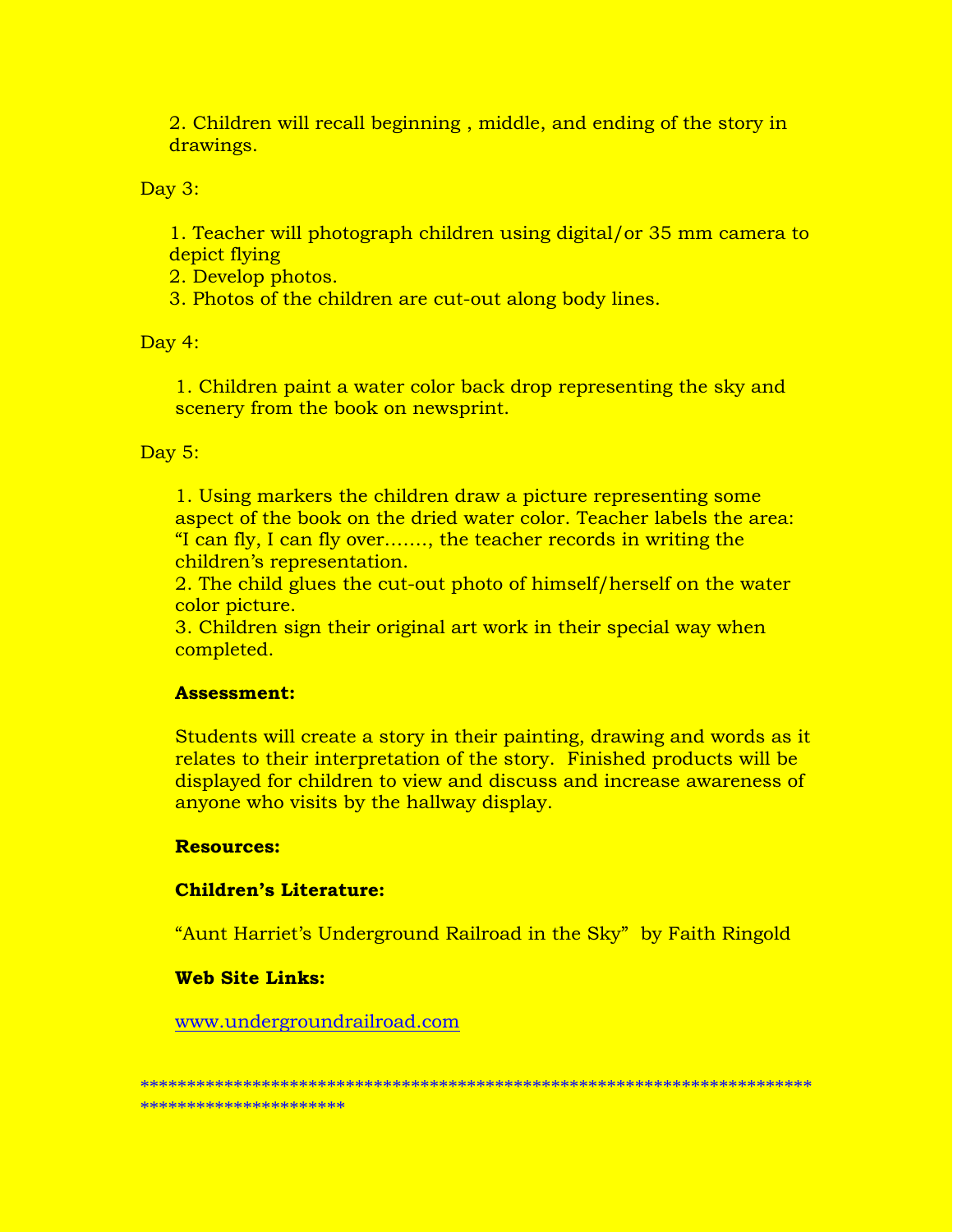2. Children will recall beginning, middle, and ending of the story in drawings.

Day 3:

1. Teacher will photograph children using digital/or 35 mm camera to depict flying

2. Develop photos.

3. Photos of the children are cut-out along body lines.

Day 4:

1. Children paint a water color back drop representing the sky and scenery from the book on newsprint.

## Day  $5:$

1. Using markers the children draw a picture representing some aspect of the book on the dried water color. Teacher labels the area: "I can fly, I can fly over......., the teacher records in writing the children's representation.

2. The child glues the cut-out photo of himself/herself on the water color picture.

3. Children sign their original art work in their special way when completed.

## **Assessment:**

Students will create a story in their painting, drawing and words as it relates to their interpretation of the story. Finished products will be displayed for children to view and discuss and increase awareness of anyone who visits by the hallway display.

## **Resources:**

# **Children's Literature:**

"Aunt Harriet's Underground Railroad in the Sky" by Faith Ringold

## **Web Site Links:**

www.undergroundrailroad.com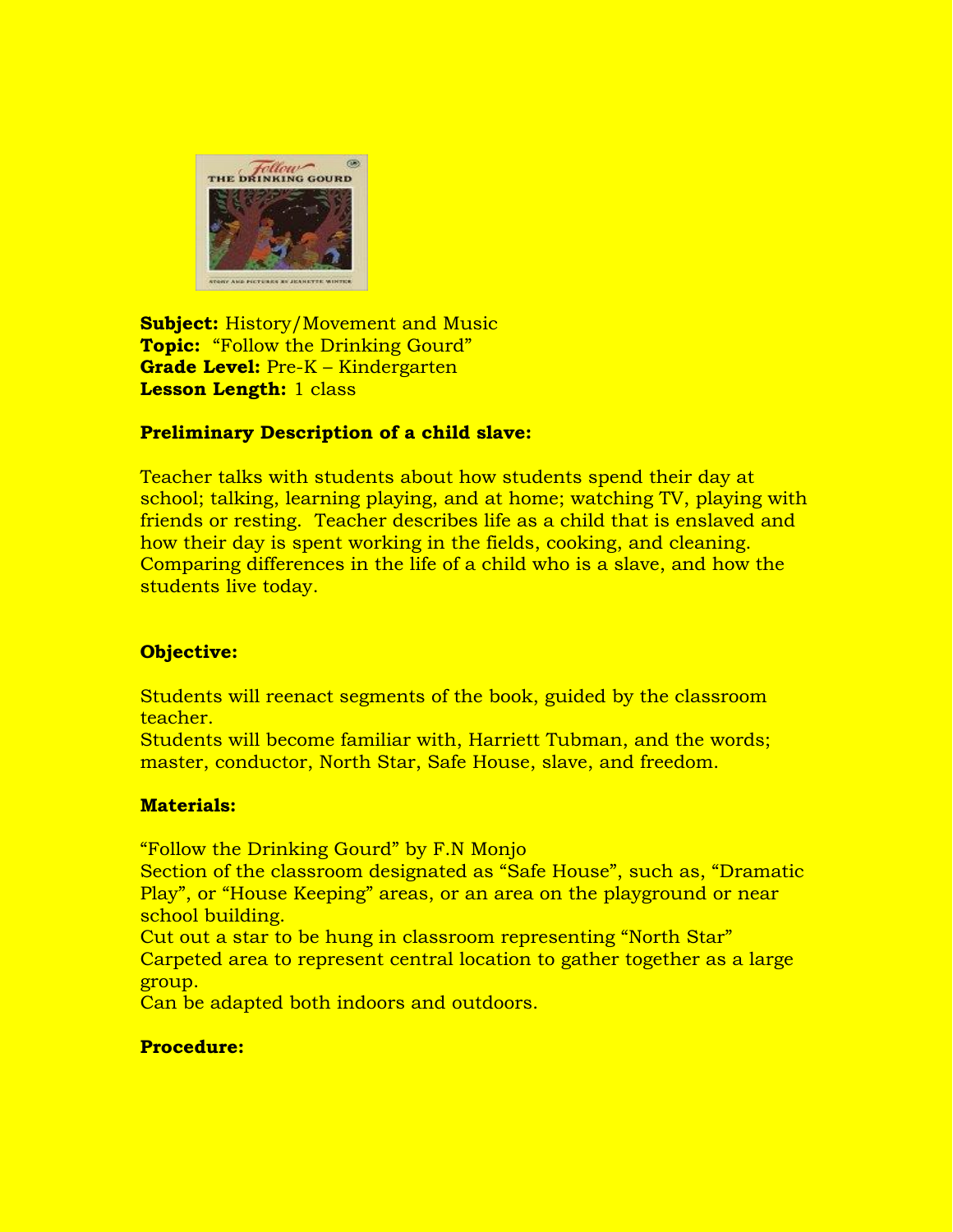

**Subject:** History/Movement and Music **Topic:** "Follow the Drinking Gourd" **Grade Level:** Pre-K – Kindergarten **Lesson Length:** 1 class

# **Preliminary Description of a child slave:**

Teacher talks with students about how students spend their day at school; talking, learning playing, and at home; watching TV, playing with friends or resting. Teacher describes life as a child that is enslaved and how their day is spent working in the fields, cooking, and cleaning. Comparing differences in the life of a child who is a slave, and how the students live today.

## **Objective:**

Students will reenact segments of the book, guided by the classroom teacher.

Students will become familiar with, Harriett Tubman, and the words; master, conductor, North Star, Safe House, slave, and freedom.

## **Materials:**

"Follow the Drinking Gourd" by F.N Monjo

Section of the classroom designated as "Safe House", such as, "Dramatic Play", or "House Keeping" areas, or an area on the playground or near school building.

Cut out a star to be hung in classroom representing "North Star" Carpeted area to represent central location to gather together as a large group.

Can be adapted both indoors and outdoors.

## **Procedure:**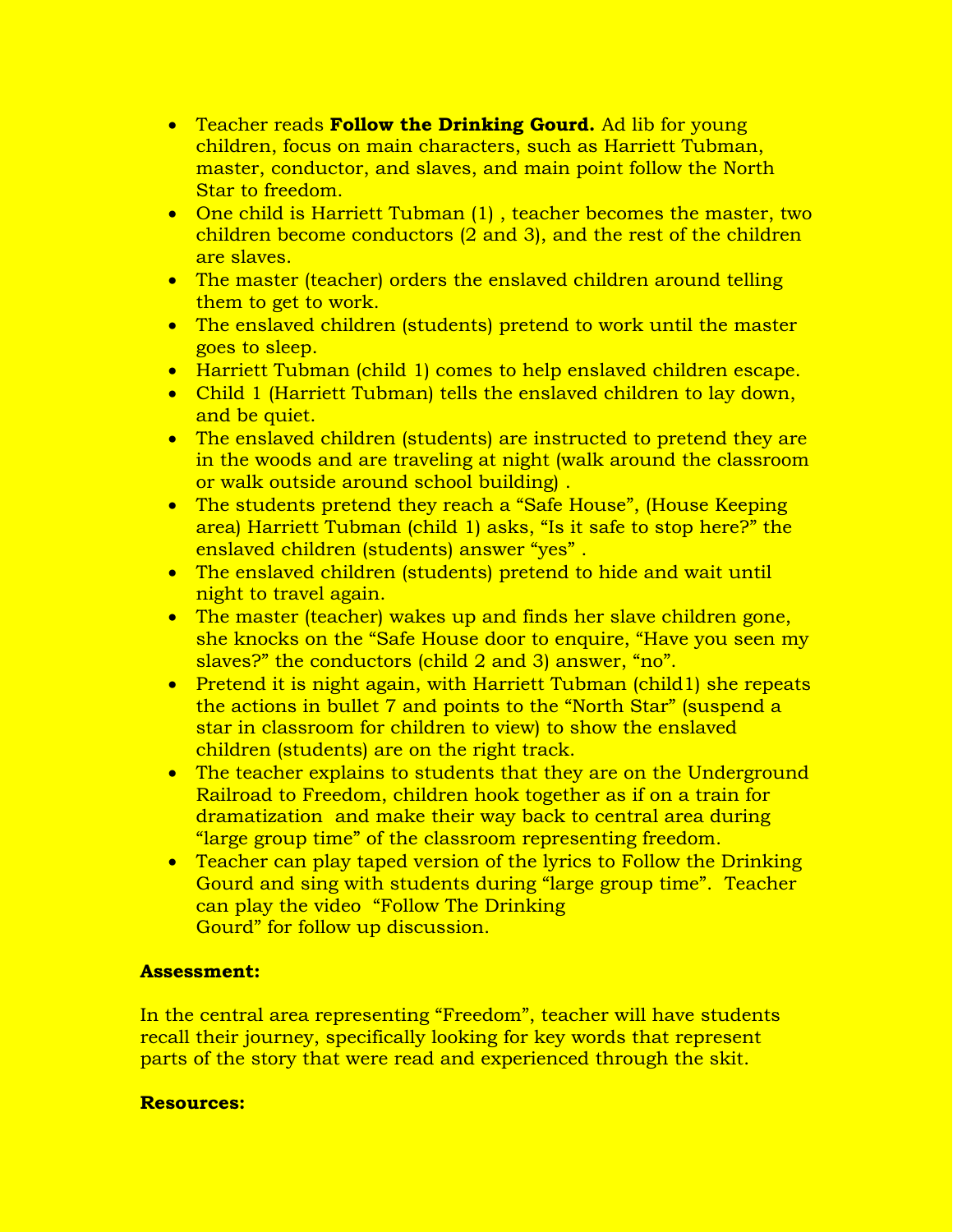- Teacher reads **Follow the Drinking Gourd.** Ad lib for young children, focus on main characters, such as Harriett Tubman, master, conductor, and slaves, and main point follow the North Star to freedom.
- One child is Harriett Tubman (1), teacher becomes the master, two children become conductors (2 and 3), and the rest of the children are slaves.
- The master (teacher) orders the enslaved children around telling them to get to work.
- The enslaved children (students) pretend to work until the master goes to sleep.
- Harriett Tubman (child 1) comes to help enslaved children escape.
- Child 1 (Harriett Tubman) tells the enslaved children to lay down, and be quiet.
- The enslaved children (students) are instructed to pretend they are in the woods and are traveling at night (walk around the classroom or walk outside around school building) .
- The students pretend they reach a "Safe House", (House Keeping area) Harriett Tubman (child 1) asks, "Is it safe to stop here?" the enslaved children (students) answer "yes" .
- The enslaved children (students) pretend to hide and wait until night to travel again.
- The master (teacher) wakes up and finds her slave children gone, she knocks on the "Safe House door to enquire, "Have you seen my slaves?" the conductors (child 2 and 3) answer, "no".
- Pretend it is night again, with Harriett Tubman (child1) she repeats the actions in bullet 7 and points to the "North Star" (suspend a star in classroom for children to view) to show the enslaved children (students) are on the right track.
- The teacher explains to students that they are on the Underground Railroad to Freedom, children hook together as if on a train for dramatization and make their way back to central area during "large group time" of the classroom representing freedom.
- Teacher can play taped version of the lyrics to Follow the Drinking Gourd and sing with students during "large group time". Teacher can play the video "Follow The Drinking Gourd" for follow up discussion.

# **Assessment:**

In the central area representing "Freedom", teacher will have students recall their journey, specifically looking for key words that represent parts of the story that were read and experienced through the skit.

## **Resources:**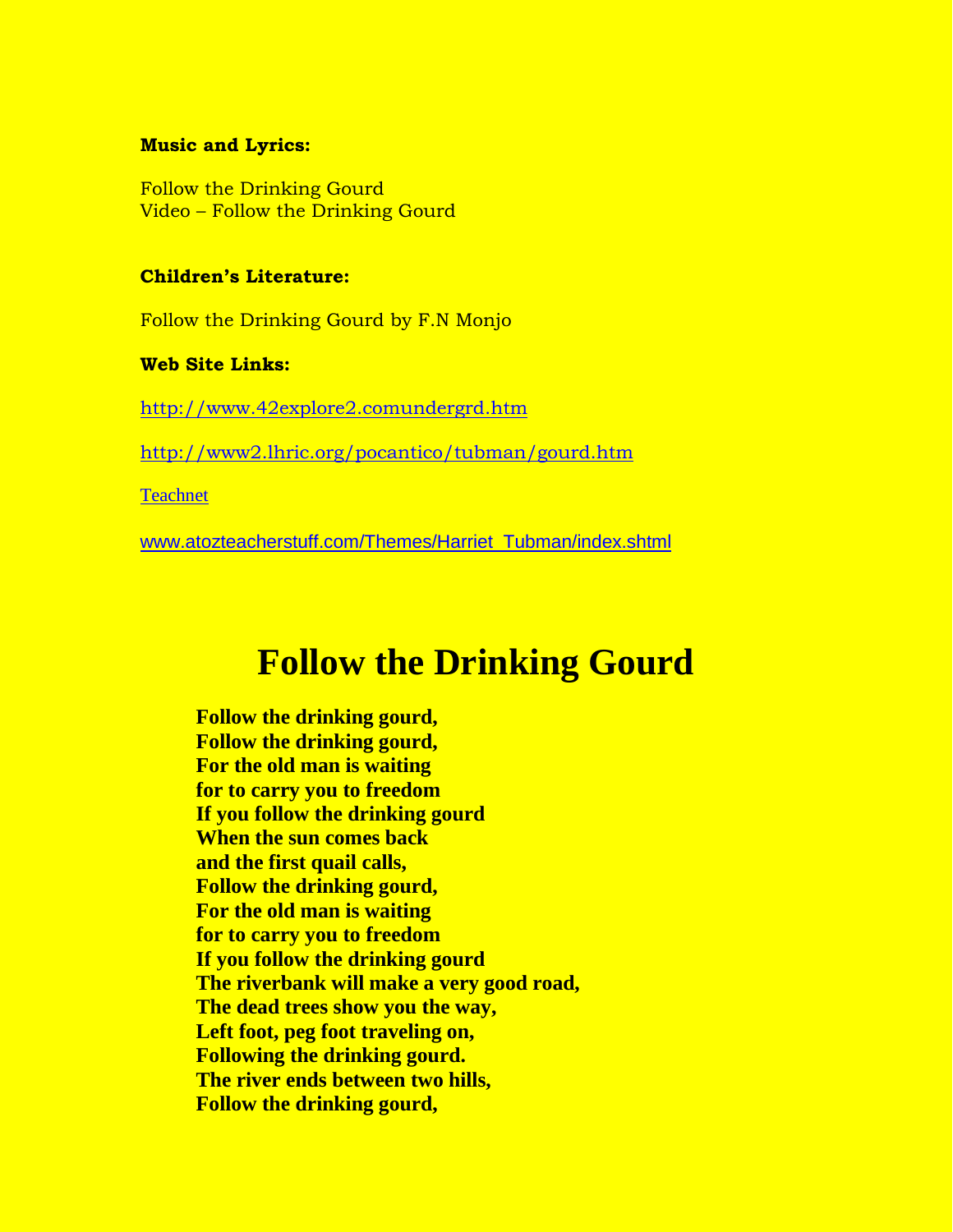#### **Music and Lyrics:**

Follow the Drinking Gourd Video – Follow the Drinking Gourd

## **Children's Literature:**

Follow the Drinking Gourd by F.N Monjo

#### **Web Site Links:**

[http://www.42explore2.comundergrd.htm](http://www.42explore2.comundergrd.htm/)

<http://www2.lhric.org/pocantico/tubman/gourd.htm>

**[Teachnet](http://www.teachnet.com/)** 

[www.atozteacherstuff.com/Themes/Harriet\\_Tubman/index.shtml](http://www.atozteacherstuff.com/Themes/Harriet_Tubman/index.shtml)

# **Follow the Drinking Gourd**

**Follow the drinking gourd, Follow the drinking gourd, For the old man is waiting for to carry you to freedom If you follow the drinking gourd When the sun comes back and the first quail calls, Follow the drinking gourd, For the old man is waiting for to carry you to freedom If you follow the drinking gourd The riverbank will make a very good road, The dead trees show you the way, Left foot, peg foot traveling on, Following the drinking gourd. The river ends between two hills, Follow the drinking gourd,**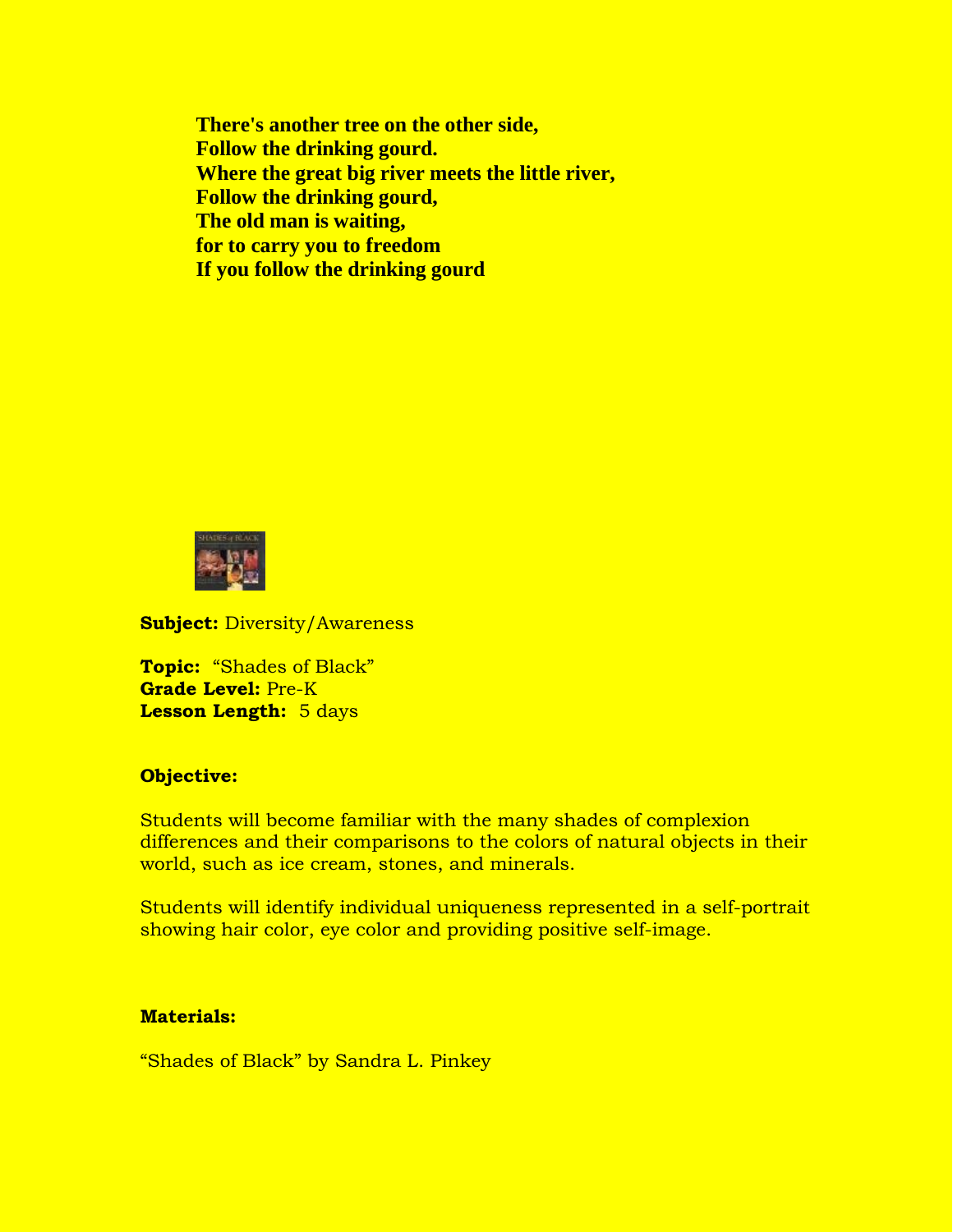**There's another tree on the other side, Follow the drinking gourd. Where the great big river meets the little river, Follow the drinking gourd, The old man is waiting, for to carry you to freedom If you follow the drinking gourd**



**Subject:** Diversity/Awareness

**Topic:** "Shades of Black" **Grade Level:** Pre-K **Lesson Length:** 5 days

## **Objective:**

Students will become familiar with the many shades of complexion differences and their comparisons to the colors of natural objects in their world, such as ice cream, stones, and minerals.

Students will identify individual uniqueness represented in a self-portrait showing hair color, eye color and providing positive self-image.

#### **Materials:**

"Shades of Black" by Sandra L. Pinkey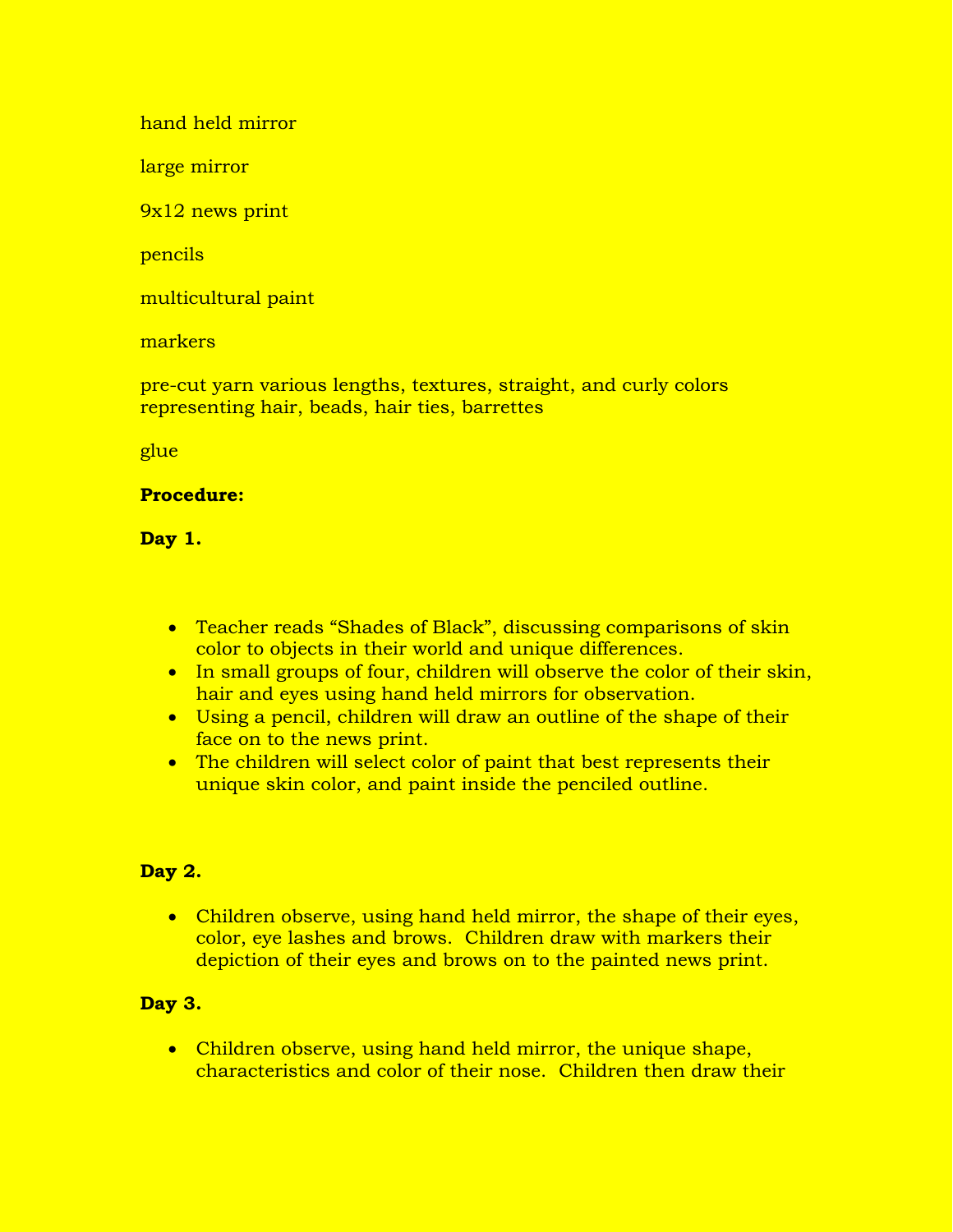hand held mirror

large mirror

9x12 news print

pencils

multicultural paint

markers

pre-cut yarn various lengths, textures, straight, and curly colors representing hair, beads, hair ties, barrettes

glue

# **Procedure:**

# **Day 1.**

- Teacher reads "Shades of Black", discussing comparisons of skin color to objects in their world and unique differences.
- In small groups of four, children will observe the color of their skin, hair and eyes using hand held mirrors for observation.
- Using a pencil, children will draw an outline of the shape of their face on to the news print.
- The children will select color of paint that best represents their unique skin color, and paint inside the penciled outline.

# **Day 2.**

• Children observe, using hand held mirror, the shape of their eyes, color, eye lashes and brows. Children draw with markers their depiction of their eyes and brows on to the painted news print.

# **Day 3.**

• Children observe, using hand held mirror, the unique shape, characteristics and color of their nose. Children then draw their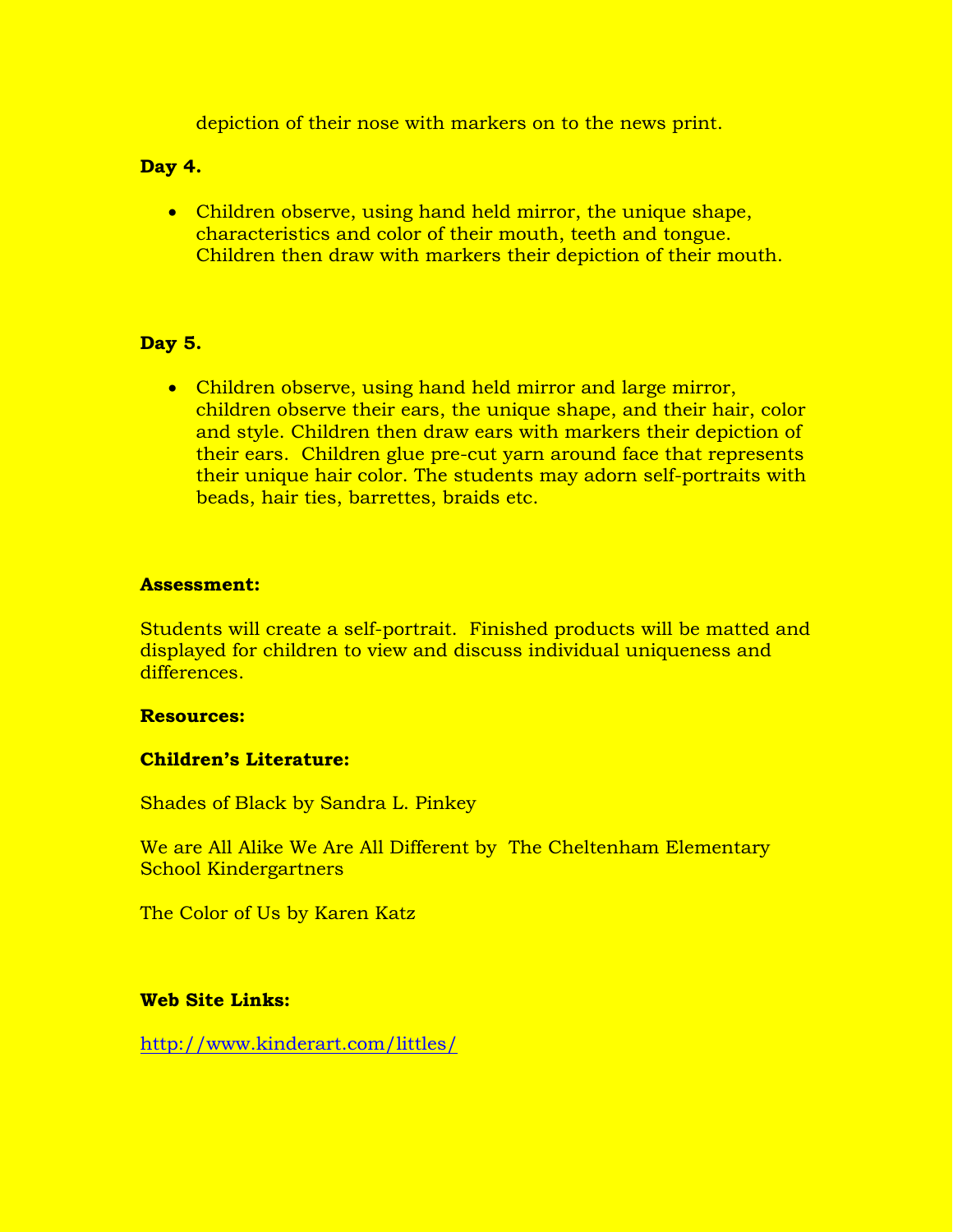depiction of their nose with markers on to the news print.

## **Day 4.**

• Children observe, using hand held mirror, the unique shape, characteristics and color of their mouth, teeth and tongue. Children then draw with markers their depiction of their mouth.

## **Day 5.**

• Children observe, using hand held mirror and large mirror, children observe their ears, the unique shape, and their hair, color and style. Children then draw ears with markers their depiction of their ears. Children glue pre-cut yarn around face that represents their unique hair color. The students may adorn self-portraits with beads, hair ties, barrettes, braids etc.

## **Assessment:**

Students will create a self-portrait. Finished products will be matted and displayed for children to view and discuss individual uniqueness and differences.

## **Resources:**

## **Children's Literature:**

Shades of Black by Sandra L. Pinkey

We are All Alike We Are All Different by The Cheltenham Elementary School Kindergartners

The Color of Us by Karen Katz

## **Web Site Links:**

<http://www.kinderart.com/littles/>